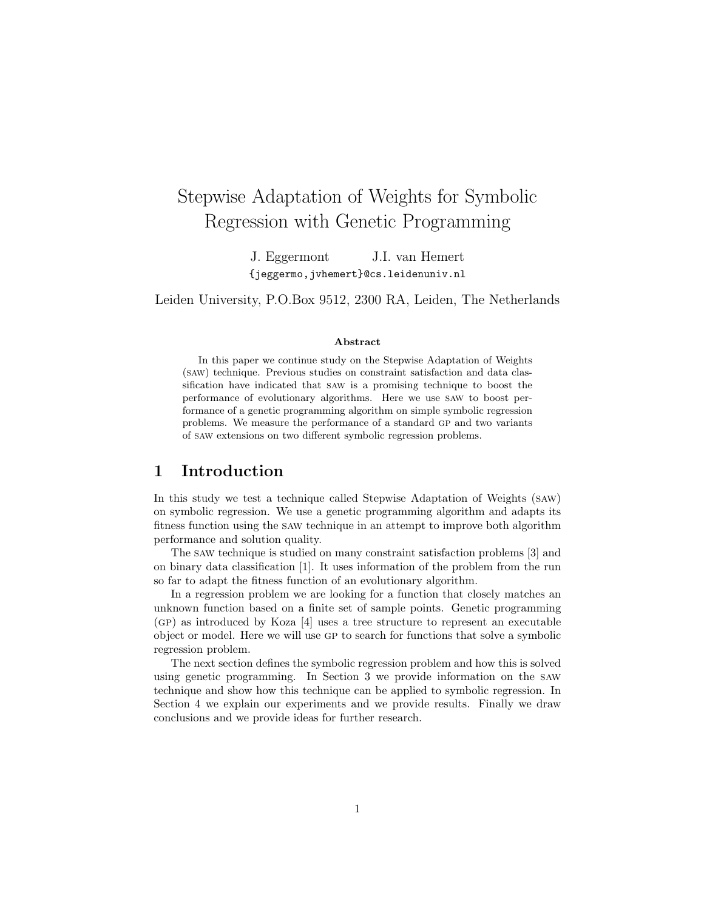# Stepwise Adaptation of Weights for Symbolic Regression with Genetic Programming

J. Eggermont J.I. van Hemert {jeggermo,jvhemert}@cs.leidenuniv.nl

Leiden University, P.O.Box 9512, 2300 RA, Leiden, The Netherlands

#### Abstract

In this paper we continue study on the Stepwise Adaptation of Weights (saw) technique. Previous studies on constraint satisfaction and data classification have indicated that saw is a promising technique to boost the performance of evolutionary algorithms. Here we use saw to boost performance of a genetic programming algorithm on simple symbolic regression problems. We measure the performance of a standard gp and two variants of saw extensions on two different symbolic regression problems.

## 1 Introduction

In this study we test a technique called Stepwise Adaptation of Weights (saw) on symbolic regression. We use a genetic programming algorithm and adapts its fitness function using the saw technique in an attempt to improve both algorithm performance and solution quality.

The saw technique is studied on many constraint satisfaction problems [3] and on binary data classification [1]. It uses information of the problem from the run so far to adapt the fitness function of an evolutionary algorithm.

In a regression problem we are looking for a function that closely matches an unknown function based on a finite set of sample points. Genetic programming (gp) as introduced by Koza [4] uses a tree structure to represent an executable object or model. Here we will use gp to search for functions that solve a symbolic regression problem.

The next section defines the symbolic regression problem and how this is solved using genetic programming. In Section 3 we provide information on the saw technique and show how this technique can be applied to symbolic regression. In Section 4 we explain our experiments and we provide results. Finally we draw conclusions and we provide ideas for further research.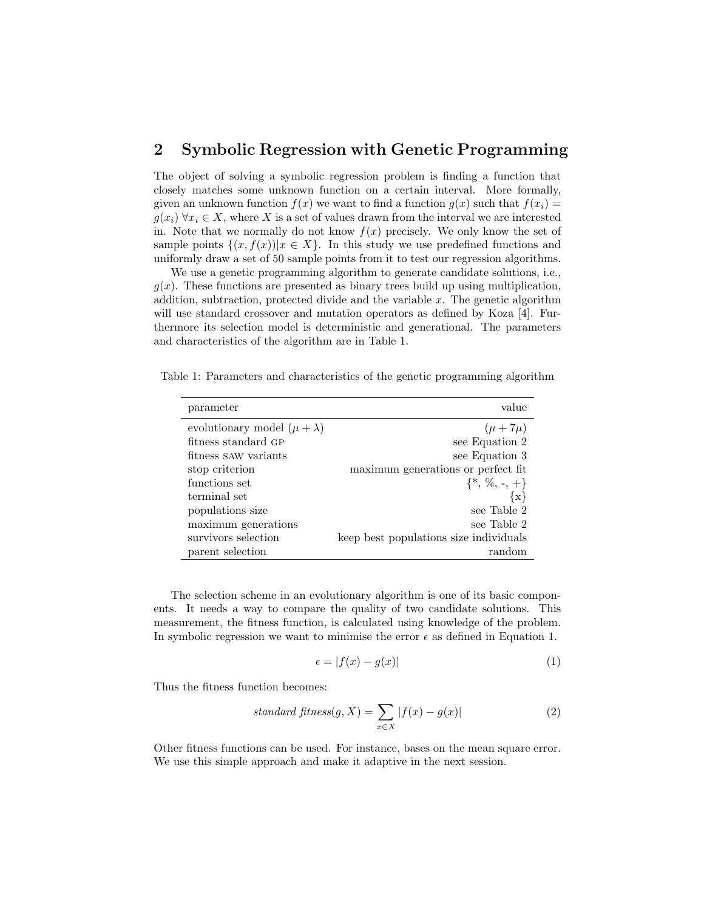## 2 Symbolic Regression with Genetic Programming

The object of solving a symbolic regression problem is finding a function that closely matches some unknown function on a certain interval. More formally, given an unknown function  $f(x)$  we want to find a function  $g(x)$  such that  $f(x_i)$  =  $g(x_i) \,\forall x_i \in X$ , where X is a set of values drawn from the interval we are interested in. Note that we normally do not know  $f(x)$  precisely. We only know the set of sample points  $\{(x, f(x))|x \in X\}$ . In this study we use predefined functions and uniformly draw a set of 50 sample points from it to test our regression algorithms.

We use a genetic programming algorithm to generate candidate solutions, i.e.,  $g(x)$ . These functions are presented as binary trees build up using multiplication, addition, subtraction, protected divide and the variable  $x$ . The genetic algorithm will use standard crossover and mutation operators as defined by Koza [4]. Furthermore its selection model is deterministic and generational. The parameters and characteristics of the algorithm are in Table 1.

Table 1: Parameters and characteristics of the genetic programming algorithm

| parameter                            | value                                  |
|--------------------------------------|----------------------------------------|
| evolutionary model $(\mu + \lambda)$ | $(\mu + 7\mu)$                         |
| fitness standard GP                  | see Equation 2                         |
| fitness SAW variants                 | see Equation 3                         |
| stop criterion                       | maximum generations or perfect fit     |
| functions set                        | $\{*, \, \%, -, +\}$                   |
| terminal set                         | $\{x\}$                                |
| populations size                     | see Table 2                            |
| maximum generations                  | see Table 2                            |
| survivors selection                  | keep best populations size individuals |
| parent selection                     | random                                 |

The selection scheme in an evolutionary algorithm is one of its basic components. It needs a way to compare the quality of two candidate solutions. This measurement, the fitness function, is calculated using knowledge of the problem. In symbolic regression we want to minimise the error  $\epsilon$  as defined in Equation 1.

$$
\epsilon = |f(x) - g(x)| \tag{1}
$$

Thus the fitness function becomes:

$$
standard \ fitness(g, X) = \sum_{x \in X} |f(x) - g(x)| \tag{2}
$$

Other fitness functions can be used. For instance, bases on the mean square error. We use this simple approach and make it adaptive in the next session.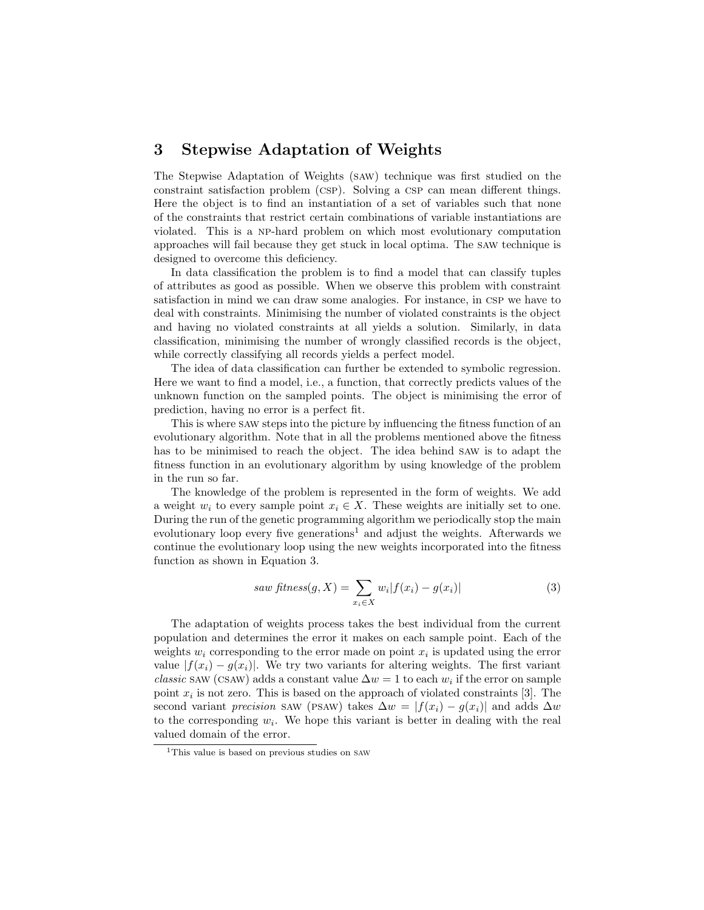## 3 Stepwise Adaptation of Weights

The Stepwise Adaptation of Weights (saw) technique was first studied on the constraint satisfaction problem (csp). Solving a csp can mean different things. Here the object is to find an instantiation of a set of variables such that none of the constraints that restrict certain combinations of variable instantiations are violated. This is a np-hard problem on which most evolutionary computation approaches will fail because they get stuck in local optima. The saw technique is designed to overcome this deficiency.

In data classification the problem is to find a model that can classify tuples of attributes as good as possible. When we observe this problem with constraint satisfaction in mind we can draw some analogies. For instance, in csp we have to deal with constraints. Minimising the number of violated constraints is the object and having no violated constraints at all yields a solution. Similarly, in data classification, minimising the number of wrongly classified records is the object, while correctly classifying all records yields a perfect model.

The idea of data classification can further be extended to symbolic regression. Here we want to find a model, i.e., a function, that correctly predicts values of the unknown function on the sampled points. The object is minimising the error of prediction, having no error is a perfect fit.

This is where saw steps into the picture by influencing the fitness function of an evolutionary algorithm. Note that in all the problems mentioned above the fitness has to be minimised to reach the object. The idea behind saw is to adapt the fitness function in an evolutionary algorithm by using knowledge of the problem in the run so far.

The knowledge of the problem is represented in the form of weights. We add a weight  $w_i$  to every sample point  $x_i \in X$ . These weights are initially set to one. During the run of the genetic programming algorithm we periodically stop the main evolutionary loop every five generations<sup>1</sup> and adjust the weights. Afterwards we continue the evolutionary loop using the new weights incorporated into the fitness function as shown in Equation 3.

$$
saw \ fitness(g, X) = \sum_{x_i \in X} w_i |f(x_i) - g(x_i)| \tag{3}
$$

The adaptation of weights process takes the best individual from the current population and determines the error it makes on each sample point. Each of the weights  $w_i$  corresponding to the error made on point  $x_i$  is updated using the error value  $|f(x_i) - g(x_i)|$ . We try two variants for altering weights. The first variant classic SAW (CSAW) adds a constant value  $\Delta w = 1$  to each  $w_i$  if the error on sample point  $x_i$  is not zero. This is based on the approach of violated constraints [3]. The second variant precision SAW (PSAW) takes  $\Delta w = |f(x_i) - q(x_i)|$  and adds  $\Delta w$ to the corresponding  $w_i$ . We hope this variant is better in dealing with the real valued domain of the error.

<sup>&</sup>lt;sup>1</sup>This value is based on previous studies on SAW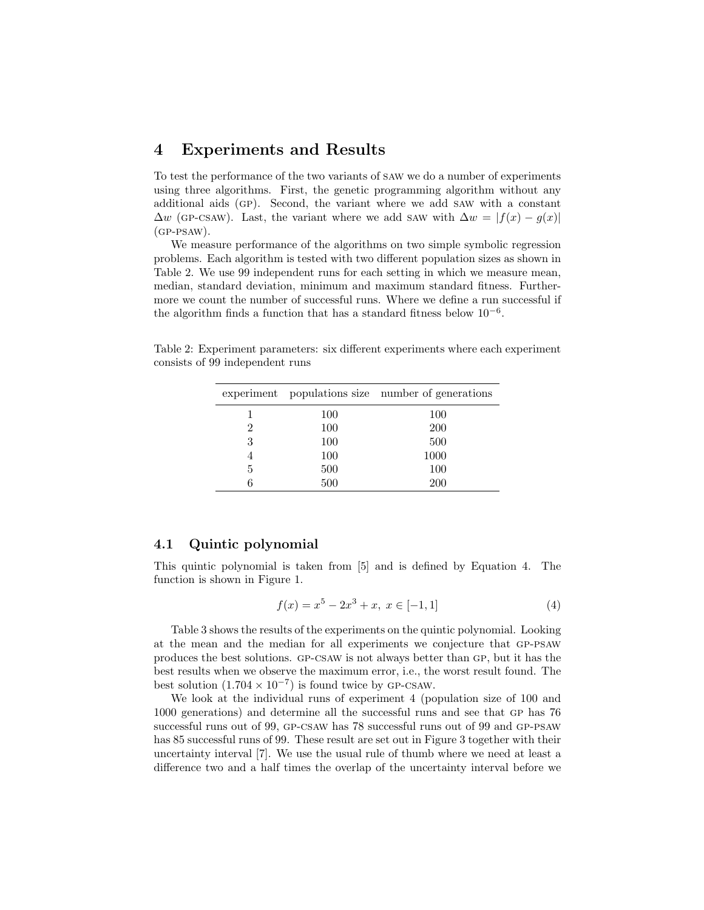## 4 Experiments and Results

To test the performance of the two variants of saw we do a number of experiments using three algorithms. First, the genetic programming algorithm without any additional aids (gp). Second, the variant where we add saw with a constant  $\Delta w$  (GP-CSAW). Last, the variant where we add SAW with  $\Delta w = |f(x) - g(x)|$  $(GP-PSAW)$ .

We measure performance of the algorithms on two simple symbolic regression problems. Each algorithm is tested with two different population sizes as shown in Table 2. We use 99 independent runs for each setting in which we measure mean, median, standard deviation, minimum and maximum standard fitness. Furthermore we count the number of successful runs. Where we define a run successful if the algorithm finds a function that has a standard fitness below 10<sup>−</sup><sup>6</sup> .

Table 2: Experiment parameters: six different experiments where each experiment consists of 99 independent runs

|   |     | experiment populations size number of generations |
|---|-----|---------------------------------------------------|
|   | 100 | 100                                               |
| 2 | 100 | 200                                               |
| 3 | 100 | 500                                               |
|   | 100 | 1000                                              |
| 5 | 500 | 100                                               |
|   | 500 | <b>200</b>                                        |

### 4.1 Quintic polynomial

This quintic polynomial is taken from [5] and is defined by Equation 4. The function is shown in Figure 1.

$$
f(x) = x^5 - 2x^3 + x, \ x \in [-1, 1] \tag{4}
$$

Table 3 shows the results of the experiments on the quintic polynomial. Looking at the mean and the median for all experiments we conjecture that gp-psaw produces the best solutions. gp-csaw is not always better than gp, but it has the best results when we observe the maximum error, i.e., the worst result found. The best solution  $(1.704 \times 10^{-7})$  is found twice by GP-CSAW.

We look at the individual runs of experiment 4 (population size of 100 and 1000 generations) and determine all the successful runs and see that gp has 76 successful runs out of 99, gp-csaw has 78 successful runs out of 99 and gp-psaw has 85 successful runs of 99. These result are set out in Figure 3 together with their uncertainty interval [7]. We use the usual rule of thumb where we need at least a difference two and a half times the overlap of the uncertainty interval before we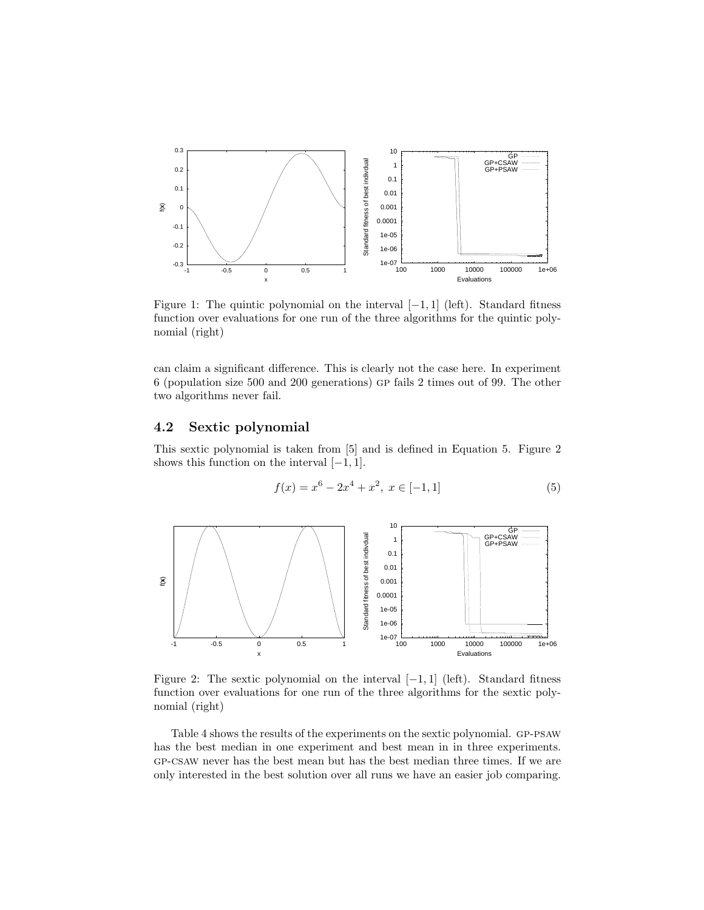

Figure 1: The quintic polynomial on the interval  $[-1, 1]$  (left). Standard fitness function over evaluations for one run of the three algorithms for the quintic polynomial (right)

can claim a significant difference. This is clearly not the case here. In experiment 6 (population size 500 and 200 generations) gp fails 2 times out of 99. The other two algorithms never fail.

#### 4.2 Sextic polynomial

This sextic polynomial is taken from [5] and is defined in Equation 5. Figure 2 shows this function on the interval  $[-1, 1]$ .

$$
f(x) = x^6 - 2x^4 + x^2, \ x \in [-1, 1]
$$
 (5)



Figure 2: The sextic polynomial on the interval  $[-1, 1]$  (left). Standard fitness function over evaluations for one run of the three algorithms for the sextic polynomial (right)

Table 4 shows the results of the experiments on the sextic polynomial. GP-PSAW has the best median in one experiment and best mean in in three experiments. gp-csaw never has the best mean but has the best median three times. If we are only interested in the best solution over all runs we have an easier job comparing.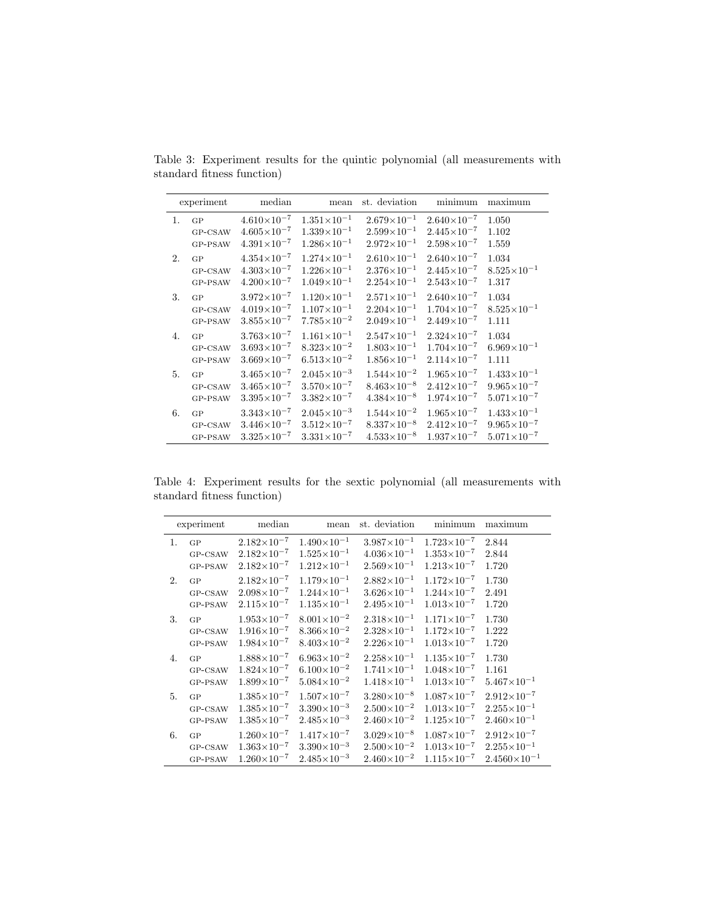|    | experiment | median                 | mean                   | st. deviation          | minimum                | maximum                |
|----|------------|------------------------|------------------------|------------------------|------------------------|------------------------|
| 1. | GP         | $4.610\times10^{-7}$   | $1.351\times10^{-1}$   | $2.679\times10^{-1}$   | $2.640\times10^{-7}$   | 1.050                  |
|    | GP-CSAW    | $4.605\times10^{-7}$   | $1.339\times10^{-1}$   | $2.599\times10^{-1}$   | $2.445\times10^{-7}$   | 1.102                  |
|    | GP-PSAW    | $4.391\times10^{-7}$   | $1.286\times10^{-1}$   | $2.972\times10^{-1}$   | $2.598\times10^{-7}$   | 1.559                  |
| 2. | GP         | $4.354\times10^{-7}$   | $1.274\times10^{-1}$   | $2.610\times10^{-1}$   | $2.640\times10^{-7}$   | 1.034                  |
|    | GP-CSAW    | $4.303\times10^{-7}$   | $1.226\times10^{-1}$   | $2.376\times10^{-1}$   | $2.445\times10^{-7}$   | $8.525\times10^{-1}$   |
|    | GP-PSAW    | $4.200\times10^{-7}$   | $1.049\times10^{-1}$   | $2.254\times10^{-1}$   | $2.543\times10^{-7}$   | 1.317                  |
| 3. | GP         | $3.972\times10^{-7}$   | $1.120\times10^{-1}$   | $2.571\times10^{-1}$   | $2.640\times10^{-7}$   | 1.034                  |
|    | GP-CSAW    | $4.019\times10^{-7}$   | $1.107\times10^{-1}$   | $2.204\times10^{-1}$   | $1.704\times10^{-7}$   | $8.525\times10^{-1}$   |
|    | GP-PSAW    | $3.855\times10^{-7}$   | $7.785\times10^{-2}$   | $2.049\times10^{-1}$   | $2.449\times10^{-7}$   | 1.111                  |
| 4. | GP         | $3.763{\times}10^{-7}$ | $1.161\times10^{-1}$   | $2.547{\times}10^{-1}$ | $2.324{\times}10^{-7}$ | 1.034                  |
|    | GP-CSAW    | $3.693\times10^{-7}$   | $8.323 \times 10^{-2}$ | $1.803\times10^{-1}$   | $1.704\times10^{-7}$   | $6.969\times10^{-1}$   |
|    | GP-PSAW    | $3.669\times10^{-7}$   | $6.513\times10^{-2}$   | $1.856\times10^{-1}$   | $2.114\times10^{-7}$   | 1.111                  |
| 5. | GP         | $3.465{\times}10^{-7}$ | $2.045\times10^{-3}$   | $1.544\times10^{-2}$   | $1.965\times10^{-7}$   | $1.433\times10^{-1}$   |
|    | GP-CSAW    | $3.465 \times 10^{-7}$ | $3.570\times10^{-7}$   | $8.463\times10^{-8}$   | $2.412\times10^{-7}$   | $9.965 \times 10^{-7}$ |
|    | GP-PSAW    | $3.395\times10^{-7}$   | $3.382\times10^{-7}$   | $4.384\times10^{-8}$   | $1.974\times10^{-7}$   | $5.071\times10^{-7}$   |
| 6. | GP         | $3.343{\times}10^{-7}$ | $2.045\times10^{-3}$   | $1.544 \times 10^{-2}$ | $1.965{\times}10^{-7}$ | $1.433 \times 10^{-1}$ |
|    | GP-CSAW    | $3.446\times10^{-7}$   | $3.512\times10^{-7}$   | $8.337\times10^{-8}$   | $2.412\times10^{-7}$   | $9.965 \times 10^{-7}$ |
|    | GP-PSAW    | $3.325\times10^{-7}$   | $3.331\times10^{-7}$   | $4.533\times10^{-8}$   | $1.937\times10^{-7}$   | $5.071\times10^{-7}$   |

Table 3: Experiment results for the quintic polynomial (all measurements with standard fitness function)

Table 4: Experiment results for the sextic polynomial (all measurements with standard fitness function)

|    | experiment | median                 | mean                   | st. deviation        | minimum              | maximum                |
|----|------------|------------------------|------------------------|----------------------|----------------------|------------------------|
| 1. | GP         | $2.182\times10^{-7}$   | $1.490\times10^{-1}$   | $3.987\times10^{-1}$ | $1.723\times10^{-7}$ | 2.844                  |
|    | GP-CSAW    | $2.182\times10^{-7}$   | $1.525 \times 10^{-1}$ | $4.036\times10^{-1}$ | $1.353\times10^{-7}$ | 2.844                  |
|    | GP-PSAW    | $2.182\times10^{-7}$   | $1.212\times10^{-1}$   | $2.569\times10^{-1}$ | $1.213\times10^{-7}$ | 1.720                  |
| 2. | GP         | $2.182\times10^{-7}$   | $1.179\times10^{-1}$   | $2.882\times10^{-1}$ | $1.172\times10^{-7}$ | 1.730                  |
|    | $GP-CSAW$  | $2.098\times10^{-7}$   | $1.244\times10^{-1}$   | $3.626\times10^{-1}$ | $1.244\times10^{-7}$ | 2.491                  |
|    | GP-PSAW    | $2.115\times10^{-7}$   | $1.135\times10^{-1}$   | $2.495\times10^{-1}$ | $1.013\times10^{-7}$ | 1.720                  |
| 3. | GP         | $1.953{\times}10^{-7}$ | $8.001\times10^{-2}$   | $2.318\times10^{-1}$ | $1.171\times10^{-7}$ | 1.730                  |
|    | GP-CSAW    | $1.916\times10^{-7}$   | $8.366\times10^{-2}$   | $2.328\times10^{-1}$ | $1.172\times10^{-7}$ | 1.222                  |
|    | GP-PSAW    | $1.984\times10^{-7}$   | $8.403\times10^{-2}$   | $2.226\times10^{-1}$ | $1.013\times10^{-7}$ | 1.720                  |
| 4. | GP         | $1.888\times10^{-7}$   | $6.963\times10^{-2}$   | $2.258\times10^{-1}$ | $1.135\times10^{-7}$ | 1.730                  |
|    | GP-CSAW    | $1.824\times10^{-7}$   | $6.100\times10^{-2}$   | $1.741\times10^{-1}$ | $1.048\times10^{-7}$ | 1.161                  |
|    | GP-PSAW    | $1.899\times10^{-7}$   | $5.084\times10^{-2}$   | $1.418\times10^{-1}$ | $1.013\times10^{-7}$ | $5.467\times10^{-1}$   |
| 5. | GP         | $1.385 \times 10^{-7}$ | $1.507\times10^{-7}$   | $3.280\times10^{-8}$ | $1.087\times10^{-7}$ | $2.912\times10^{-7}$   |
|    | GP-CSAW    | $1.385\times10^{-7}$   | $3.390\times10^{-3}$   | $2.500\times10^{-2}$ | $1.013\times10^{-7}$ | $2.255 \times 10^{-1}$ |
|    | GP-PSAW    | $1.385\times10^{-7}$   | $2.485 \times 10^{-3}$ | $2.460\times10^{-2}$ | $1.125\times10^{-7}$ | $2.460\times10^{-1}$   |
| 6. | GP         | $1.260\times10^{-7}$   | $1.417\times10^{-7}$   | $3.029\times10^{-8}$ | $1.087\times10^{-7}$ | $2.912\times10^{-7}$   |
|    | GP-CSAW    | $1.363\times10^{-7}$   | $3.390\times10^{-3}$   | $2.500\times10^{-2}$ | $1.013\times10^{-7}$ | $2.255 \times 10^{-1}$ |
|    | GP-PSAW    | $1.260\times10^{-7}$   | $2.485\times10^{-3}$   | $2.460\times10^{-2}$ | $1.115\times10^{-7}$ | $2.4560\times10^{-1}$  |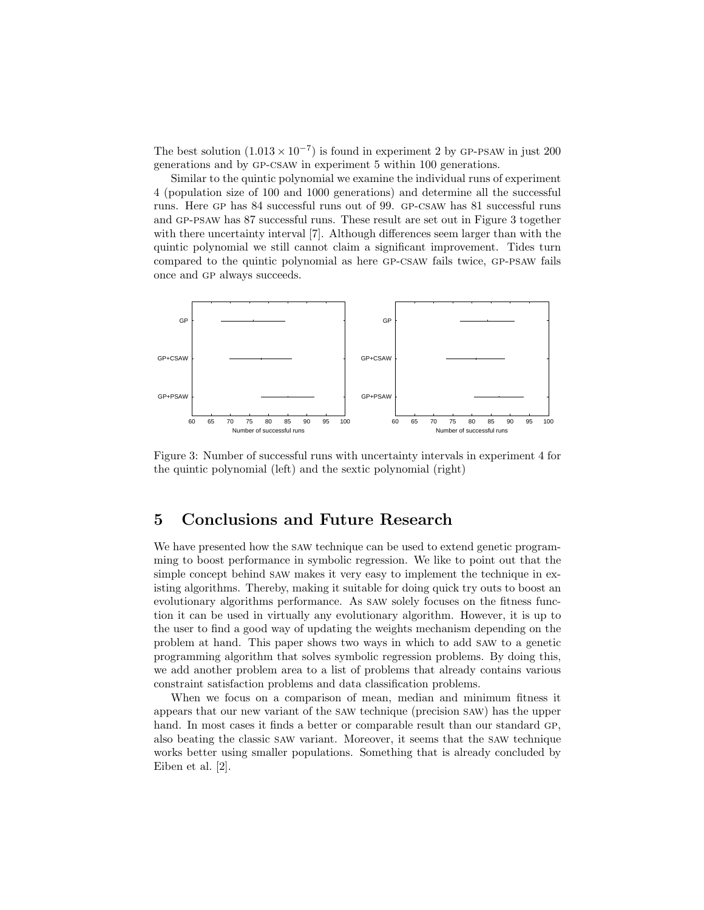The best solution  $(1.013 \times 10^{-7})$  is found in experiment 2 by GP-PSAW in just 200 generations and by gp-csaw in experiment 5 within 100 generations.

Similar to the quintic polynomial we examine the individual runs of experiment 4 (population size of 100 and 1000 generations) and determine all the successful runs. Here gp has 84 successful runs out of 99. gp-csaw has 81 successful runs and gp-psaw has 87 successful runs. These result are set out in Figure 3 together with there uncertainty interval [7]. Although differences seem larger than with the quintic polynomial we still cannot claim a significant improvement. Tides turn compared to the quintic polynomial as here gp-csaw fails twice, gp-psaw fails once and gp always succeeds.



Figure 3: Number of successful runs with uncertainty intervals in experiment 4 for the quintic polynomial (left) and the sextic polynomial (right)

## 5 Conclusions and Future Research

We have presented how the saw technique can be used to extend genetic programming to boost performance in symbolic regression. We like to point out that the simple concept behind saw makes it very easy to implement the technique in existing algorithms. Thereby, making it suitable for doing quick try outs to boost an evolutionary algorithms performance. As saw solely focuses on the fitness function it can be used in virtually any evolutionary algorithm. However, it is up to the user to find a good way of updating the weights mechanism depending on the problem at hand. This paper shows two ways in which to add saw to a genetic programming algorithm that solves symbolic regression problems. By doing this, we add another problem area to a list of problems that already contains various constraint satisfaction problems and data classification problems.

When we focus on a comparison of mean, median and minimum fitness it appears that our new variant of the saw technique (precision saw) has the upper hand. In most cases it finds a better or comparable result than our standard GP, also beating the classic saw variant. Moreover, it seems that the saw technique works better using smaller populations. Something that is already concluded by Eiben et al. [2].